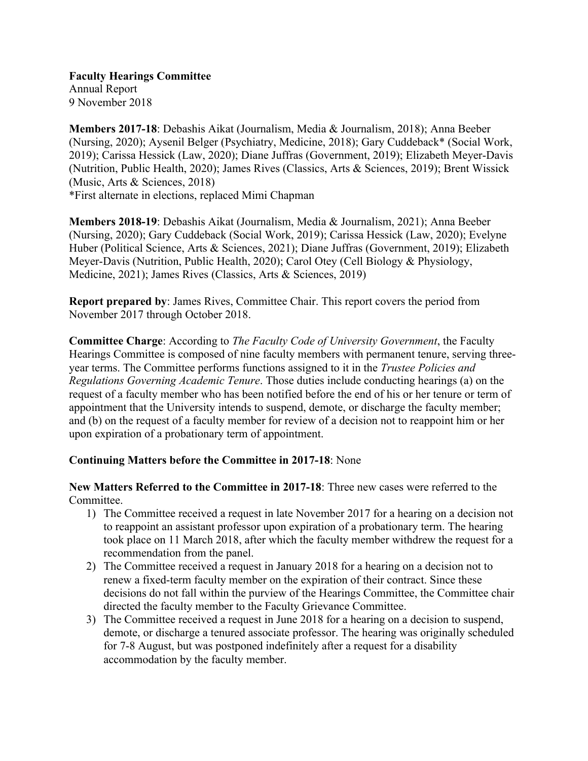**Faculty Hearings Committee** Annual Report 9 November 2018

**Members 2017-18**: Debashis Aikat (Journalism, Media & Journalism, 2018); Anna Beeber (Nursing, 2020); Aysenil Belger (Psychiatry, Medicine, 2018); Gary Cuddeback\* (Social Work, 2019); Carissa Hessick (Law, 2020); Diane Juffras (Government, 2019); Elizabeth Meyer-Davis (Nutrition, Public Health, 2020); James Rives (Classics, Arts & Sciences, 2019); Brent Wissick (Music, Arts & Sciences, 2018) \*First alternate in elections, replaced Mimi Chapman

**Members 2018-19**: Debashis Aikat (Journalism, Media & Journalism, 2021); Anna Beeber (Nursing, 2020); Gary Cuddeback (Social Work, 2019); Carissa Hessick (Law, 2020); Evelyne Huber (Political Science, Arts & Sciences, 2021); Diane Juffras (Government, 2019); Elizabeth Meyer-Davis (Nutrition, Public Health, 2020); Carol Otey (Cell Biology & Physiology, Medicine, 2021); James Rives (Classics, Arts & Sciences, 2019)

**Report prepared by**: James Rives, Committee Chair. This report covers the period from November 2017 through October 2018.

**Committee Charge**: According to *The Faculty Code of University Government*, the Faculty Hearings Committee is composed of nine faculty members with permanent tenure, serving threeyear terms. The Committee performs functions assigned to it in the *Trustee Policies and Regulations Governing Academic Tenure*. Those duties include conducting hearings (a) on the request of a faculty member who has been notified before the end of his or her tenure or term of appointment that the University intends to suspend, demote, or discharge the faculty member; and (b) on the request of a faculty member for review of a decision not to reappoint him or her upon expiration of a probationary term of appointment.

# **Continuing Matters before the Committee in 2017-18**: None

**New Matters Referred to the Committee in 2017-18**: Three new cases were referred to the Committee.

- 1) The Committee received a request in late November 2017 for a hearing on a decision not to reappoint an assistant professor upon expiration of a probationary term. The hearing took place on 11 March 2018, after which the faculty member withdrew the request for a recommendation from the panel.
- 2) The Committee received a request in January 2018 for a hearing on a decision not to renew a fixed-term faculty member on the expiration of their contract. Since these decisions do not fall within the purview of the Hearings Committee, the Committee chair directed the faculty member to the Faculty Grievance Committee.
- 3) The Committee received a request in June 2018 for a hearing on a decision to suspend, demote, or discharge a tenured associate professor. The hearing was originally scheduled for 7-8 August, but was postponed indefinitely after a request for a disability accommodation by the faculty member.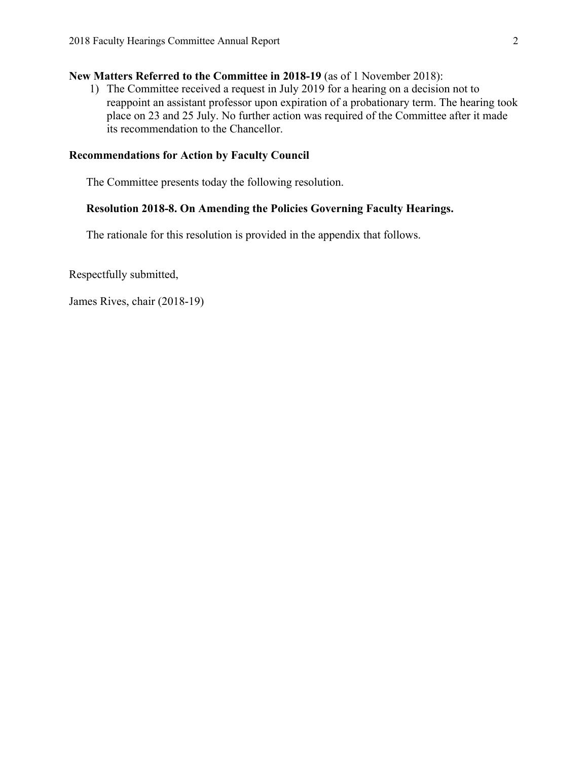## **New Matters Referred to the Committee in 2018-19** (as of 1 November 2018):

1) The Committee received a request in July 2019 for a hearing on a decision not to reappoint an assistant professor upon expiration of a probationary term. The hearing took place on 23 and 25 July. No further action was required of the Committee after it made its recommendation to the Chancellor.

#### **Recommendations for Action by Faculty Council**

The Committee presents today the following resolution.

## **Resolution 2018-8. On Amending the Policies Governing Faculty Hearings.**

The rationale for this resolution is provided in the appendix that follows.

Respectfully submitted,

James Rives, chair (2018-19)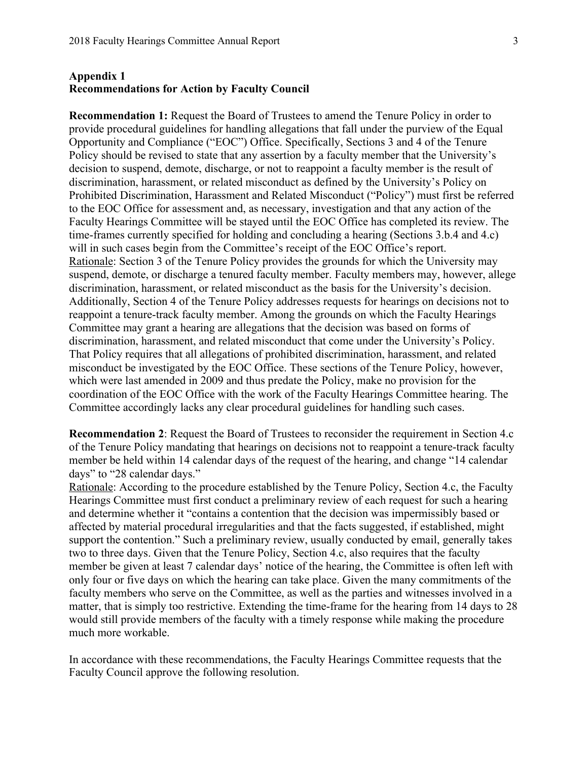### **Appendix 1 Recommendations for Action by Faculty Council**

**Recommendation 1:** Request the Board of Trustees to amend the Tenure Policy in order to provide procedural guidelines for handling allegations that fall under the purview of the Equal Opportunity and Compliance ("EOC") Office. Specifically, Sections 3 and 4 of the Tenure Policy should be revised to state that any assertion by a faculty member that the University's decision to suspend, demote, discharge, or not to reappoint a faculty member is the result of discrimination, harassment, or related misconduct as defined by the University's Policy on Prohibited Discrimination, Harassment and Related Misconduct ("Policy") must first be referred to the EOC Office for assessment and, as necessary, investigation and that any action of the Faculty Hearings Committee will be stayed until the EOC Office has completed its review. The time-frames currently specified for holding and concluding a hearing (Sections 3.b.4 and 4.c) will in such cases begin from the Committee's receipt of the EOC Office's report. Rationale: Section 3 of the Tenure Policy provides the grounds for which the University may suspend, demote, or discharge a tenured faculty member. Faculty members may, however, allege discrimination, harassment, or related misconduct as the basis for the University's decision. Additionally, Section 4 of the Tenure Policy addresses requests for hearings on decisions not to reappoint a tenure-track faculty member. Among the grounds on which the Faculty Hearings Committee may grant a hearing are allegations that the decision was based on forms of discrimination, harassment, and related misconduct that come under the University's Policy. That Policy requires that all allegations of prohibited discrimination, harassment, and related misconduct be investigated by the EOC Office. These sections of the Tenure Policy, however, which were last amended in 2009 and thus predate the Policy, make no provision for the coordination of the EOC Office with the work of the Faculty Hearings Committee hearing. The Committee accordingly lacks any clear procedural guidelines for handling such cases.

**Recommendation 2**: Request the Board of Trustees to reconsider the requirement in Section 4.c of the Tenure Policy mandating that hearings on decisions not to reappoint a tenure-track faculty member be held within 14 calendar days of the request of the hearing, and change "14 calendar days" to "28 calendar days."

Rationale: According to the procedure established by the Tenure Policy, Section 4.c, the Faculty Hearings Committee must first conduct a preliminary review of each request for such a hearing and determine whether it "contains a contention that the decision was impermissibly based or affected by material procedural irregularities and that the facts suggested, if established, might support the contention." Such a preliminary review, usually conducted by email, generally takes two to three days. Given that the Tenure Policy, Section 4.c, also requires that the faculty member be given at least 7 calendar days' notice of the hearing, the Committee is often left with only four or five days on which the hearing can take place. Given the many commitments of the faculty members who serve on the Committee, as well as the parties and witnesses involved in a matter, that is simply too restrictive. Extending the time-frame for the hearing from 14 days to 28 would still provide members of the faculty with a timely response while making the procedure much more workable.

In accordance with these recommendations, the Faculty Hearings Committee requests that the Faculty Council approve the following resolution.